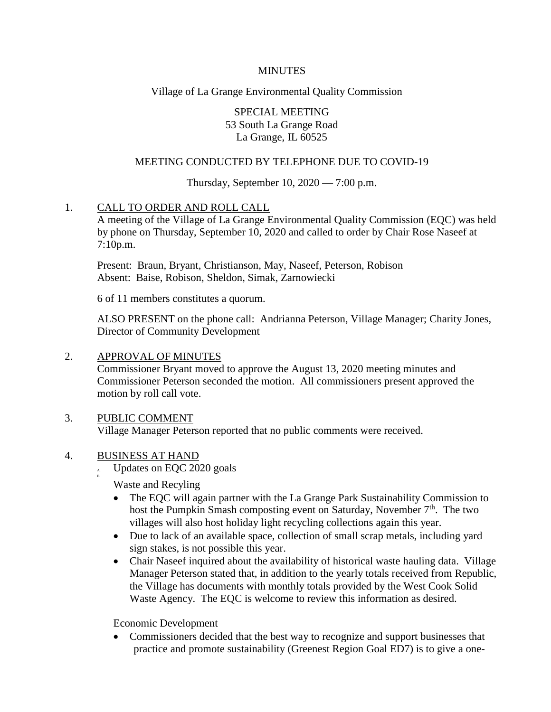#### **MINUTES**

## Village of La Grange Environmental Quality Commission

SPECIAL MEETING 53 South La Grange Road La Grange, IL 60525

### MEETING CONDUCTED BY TELEPHONE DUE TO COVID-19

## Thursday, September 10, 2020 — 7:00 p.m.

## 1. CALL TO ORDER AND ROLL CALL

A meeting of the Village of La Grange Environmental Quality Commission (EQC) was held by phone on Thursday, September 10, 2020 and called to order by Chair Rose Naseef at 7:10p.m.

Present: Braun, Bryant, Christianson, May, Naseef, Peterson, Robison Absent: Baise, Robison, Sheldon, Simak, Zarnowiecki

6 of 11 members constitutes a quorum.

ALSO PRESENT on the phone call: Andrianna Peterson, Village Manager; Charity Jones, Director of Community Development

#### 2. APPROVAL OF MINUTES

Commissioner Bryant moved to approve the August 13, 2020 meeting minutes and Commissioner Peterson seconded the motion. All commissioners present approved the motion by roll call vote.

## 3. PUBLIC COMMENT

Village Manager Peterson reported that no public comments were received.

## 4. BUSINESS AT HAND

B.

Updates on EQC 2020 goals

Waste and Recyling

- The EQC will again partner with the La Grange Park Sustainability Commission to host the Pumpkin Smash composting event on Saturday, November  $7<sup>th</sup>$ . The two villages will also host holiday light recycling collections again this year.
- Due to lack of an available space, collection of small scrap metals, including yard sign stakes, is not possible this year.
- Chair Naseef inquired about the availability of historical waste hauling data. Village Manager Peterson stated that, in addition to the yearly totals received from Republic, the Village has documents with monthly totals provided by the West Cook Solid Waste Agency. The EQC is welcome to review this information as desired.

Economic Development

• Commissioners decided that the best way to recognize and support businesses that practice and promote sustainability (Greenest Region Goal ED7) is to give a one-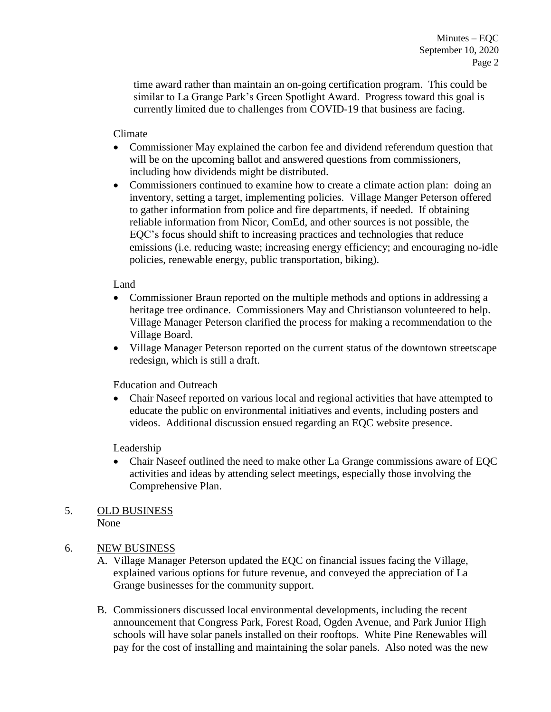time award rather than maintain an on-going certification program. This could be similar to La Grange Park's Green Spotlight Award. Progress toward this goal is currently limited due to challenges from COVID-19 that business are facing.

Climate

- Commissioner May explained the carbon fee and dividend referendum question that will be on the upcoming ballot and answered questions from commissioners, including how dividends might be distributed.
- Commissioners continued to examine how to create a climate action plan: doing an inventory, setting a target, implementing policies. Village Manger Peterson offered to gather information from police and fire departments, if needed. If obtaining reliable information from Nicor, ComEd, and other sources is not possible, the EQC's focus should shift to increasing practices and technologies that reduce emissions (i.e. reducing waste; increasing energy efficiency; and encouraging no-idle policies, renewable energy, public transportation, biking).

Land

- Commissioner Braun reported on the multiple methods and options in addressing a heritage tree ordinance. Commissioners May and Christianson volunteered to help. Village Manager Peterson clarified the process for making a recommendation to the Village Board.
- Village Manager Peterson reported on the current status of the downtown streetscape redesign, which is still a draft.

Education and Outreach

 Chair Naseef reported on various local and regional activities that have attempted to educate the public on environmental initiatives and events, including posters and videos. Additional discussion ensued regarding an EQC website presence.

Leadership

- Chair Naseef outlined the need to make other La Grange commissions aware of EQC activities and ideas by attending select meetings, especially those involving the Comprehensive Plan.
- 5. OLD BUSINESS None

# 6. NEW BUSINESS

- A. Village Manager Peterson updated the EQC on financial issues facing the Village, explained various options for future revenue, and conveyed the appreciation of La Grange businesses for the community support.
- B. Commissioners discussed local environmental developments, including the recent announcement that Congress Park, Forest Road, Ogden Avenue, and Park Junior High schools will have solar panels installed on their rooftops. White Pine Renewables will pay for the cost of installing and maintaining the solar panels. Also noted was the new